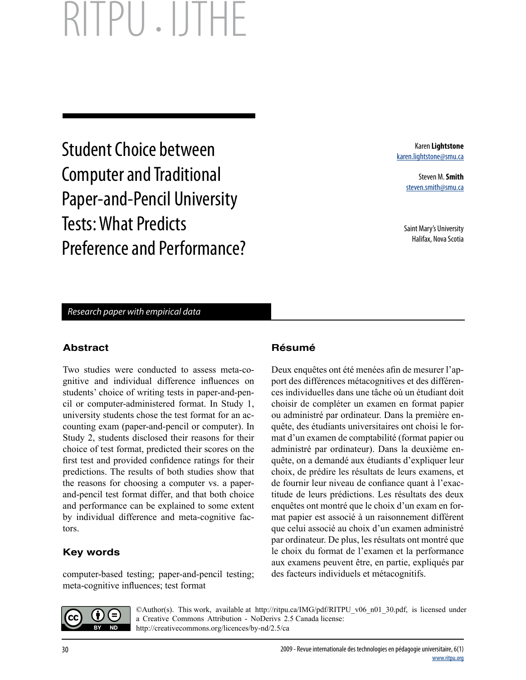Student Choice between Computer and Traditional Paper-and-Pencil University Tests: What Predicts Preference and Performance?

Karen **Lightstone** karen.lightstone@smu.ca

> Steven M. **Smith** steven.smith@smu.ca

Saint Mary's University Halifax, Nova Scotia

Research paper with empirical data

## **Abstract**

Two studies were conducted to assess meta-cognitive and individual difference influences on students' choice of writing tests in paper-and-pencil or computer-administered format. In Study 1, university students chose the test format for an accounting exam (paper-and-pencil or computer). In Study 2, students disclosed their reasons for their choice of test format, predicted their scores on the first test and provided confidence ratings for their predictions. The results of both studies show that the reasons for choosing a computer vs. a paperand-pencil test format differ, and that both choice and performance can be explained to some extent by individual difference and meta-cognitive factors.

## **Key words**

computer-based testing; paper-and-pencil testing; meta-cognitive influences; test format

### **Résumé**

Deux enquêtes ont été menées afin de mesurer l'apport des différences métacognitives et des différences individuelles dans une tâche où un étudiant doit choisir de compléter un examen en format papier ou administré par ordinateur. Dans la première enquête, des étudiants universitaires ont choisi le format d'un examen de comptabilité (format papier ou administré par ordinateur). Dans la deuxième enquête, on a demandé aux étudiants d'expliquer leur choix, de prédire les résultats de leurs examens, et de fournir leur niveau de confiance quant à l'exactitude de leurs prédictions. Les résultats des deux enquêtes ont montré que le choix d'un exam en format papier est associé à un raisonnement différent que celui associé au choix d'un examen administré par ordinateur. De plus, les résultats ont montré que le choix du format de l'examen et la performance aux examens peuvent être, en partie, expliqués par des facteurs individuels et métacognitifs.



©Author(s). This work, available at http://ritpu.ca/IMG/pdf/RITPU\_v06\_n01\_30.pdf, is licensed under a Creative Commons Attribution - NoDerivs 2.5 Canada license: http://creativecommons.org/licences/by-nd/2.5/ca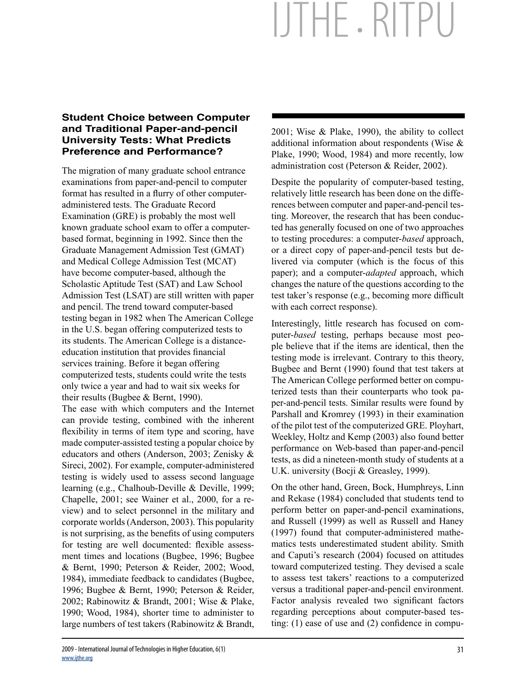#### **Student Choice between Computer and Traditional Paper-and-pencil University Tests: What Predicts Preference and Performance?**

The migration of many graduate school entrance examinations from paper-and-pencil to computer format has resulted in a flurry of other computeradministered tests. The Graduate Record Examination (GRE) is probably the most well known graduate school exam to offer a computerbased format, beginning in 1992. Since then the Graduate Management Admission Test (GMAT) and Medical College Admission Test (MCAT) have become computer-based, although the Scholastic Aptitude Test (SAT) and Law School Admission Test (LSAT) are still written with paper and pencil. The trend toward computer-based testing began in 1982 when The American College in the U.S. began offering computerized tests to its students. The American College is a distanceeducation institution that provides financial services training. Before it began offering computerized tests, students could write the tests only twice a year and had to wait six weeks for their results (Bugbee & Bernt, 1990).

The ease with which computers and the Internet can provide testing, combined with the inherent flexibility in terms of item type and scoring, have made computer-assisted testing a popular choice by educators and others (Anderson, 2003; Zenisky & Sireci, 2002). For example, computer-administered testing is widely used to assess second language learning (e.g., Chalhoub-Deville & Deville, 1999; Chapelle, 2001; see Wainer et al., 2000, for a review) and to select personnel in the military and corporate worlds(Anderson, 2003). This popularity is not surprising, as the benefits of using computers for testing are well documented: flexible assessment times and locations (Bugbee, 1996; Bugbee & Bernt, 1990; Peterson & Reider, 2002; Wood, 1984), immediate feedback to candidates (Bugbee, 1996; Bugbee & Bernt, 1990; Peterson & Reider, 2002; Rabinowitz & Brandt, 2001; Wise & Plake, 1990; Wood, 1984), shorter time to administer to large numbers of test takers (Rabinowitz & Brandt, 2001; Wise & Plake, 1990), the ability to collect additional information about respondents (Wise & Plake, 1990; Wood, 1984) and more recently, low administration cost (Peterson & Reider, 2002).

Despite the popularity of computer-based testing, relatively little research has been done on the differences between computer and paper-and-pencil testing. Moreover, the research that has been conducted has generally focused on one of two approaches to testing procedures: a computer-*based* approach, or a direct copy of paper-and-pencil tests but delivered via computer (which is the focus of this paper); and a computer-*adapted* approach, which changes the nature of the questions according to the test taker's response (e.g., becoming more difficult with each correct response).

Interestingly, little research has focused on computer-*based* testing, perhaps because most people believe that if the items are identical, then the testing mode is irrelevant. Contrary to this theory, Bugbee and Bernt (1990) found that test takers at The American College performed better on computerized tests than their counterparts who took paper-and-pencil tests. Similar results were found by Parshall and Kromrey (1993) in their examination of the pilot test of the computerized GRE. Ployhart, Weekley, Holtz and Kemp (2003) also found better performance on Web-based than paper-and-pencil tests, as did a nineteen-month study of students at a U.K. university (Bocji & Greasley, 1999).

On the other hand, Green, Bock, Humphreys, Linn and Rekase (1984) concluded that students tend to perform better on paper-and-pencil examinations, and Russell (1999) as well as Russell and Haney (1997) found that computer-administered mathematics tests underestimated student ability. Smith and Caputi's research (2004) focused on attitudes toward computerized testing. They devised a scale to assess test takers' reactions to a computerized versus a traditional paper-and-pencil environment. Factor analysis revealed two significant factors regarding perceptions about computer-based testing: (1) ease of use and (2) confidence in compu-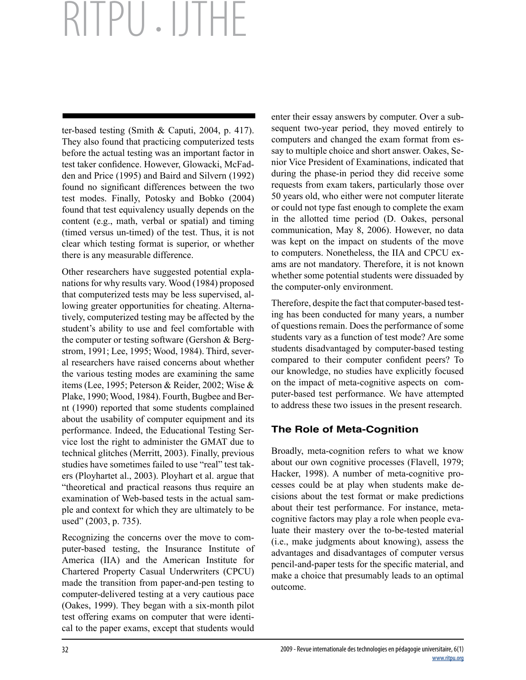ter-based testing (Smith & Caputi, 2004, p. 417). They also found that practicing computerized tests before the actual testing was an important factor in test taker confidence. However, Glowacki, McFadden and Price (1995) and Baird and Silvern (1992) found no significant differences between the two test modes. Finally, Potosky and Bobko (2004) found that test equivalency usually depends on the content (e.g., math, verbal or spatial) and timing (timed versus un-timed) of the test. Thus, it is not clear which testing format is superior, or whether there is any measurable difference.

Other researchers have suggested potential explanations for why results vary. Wood (1984) proposed that computerized tests may be less supervised, allowing greater opportunities for cheating. Alternatively, computerized testing may be affected by the student's ability to use and feel comfortable with the computer or testing software (Gershon & Bergstrom, 1991; Lee, 1995; Wood, 1984). Third, several researchers have raised concerns about whether the various testing modes are examining the same items (Lee, 1995; Peterson & Reider, 2002; Wise & Plake, 1990; Wood, 1984). Fourth, Bugbee and Bernt (1990) reported that some students complained about the usability of computer equipment and its performance. Indeed, the Educational Testing Service lost the right to administer the GMAT due to technical glitches (Merritt, 2003). Finally, previous studies have sometimes failed to use "real" test takers (Ployhartet al., 2003). Ployhart et al. argue that "theoretical and practical reasons thus require an examination of Web-based tests in the actual sample and context for which they are ultimately to be used" (2003, p. 735).

Recognizing the concerns over the move to computer-based testing, the Insurance Institute of America (IIA) and the American Institute for Chartered Property Casual Underwriters (CPCU) made the transition from paper-and-pen testing to computer-delivered testing at a very cautious pace (Oakes, 1999). They began with a six-month pilot test offering exams on computer that were identical to the paper exams, except that students would

enter their essay answers by computer. Over a subsequent two-year period, they moved entirely to computers and changed the exam format from essay to multiple choice and short answer. Oakes, Senior Vice President of Examinations, indicated that during the phase-in period they did receive some requests from exam takers, particularly those over 50 years old, who either were not computer literate or could not type fast enough to complete the exam in the allotted time period (D. Oakes, personal communication, May 8, 2006). However, no data was kept on the impact on students of the move to computers. Nonetheless, the IIA and CPCU exams are not mandatory. Therefore, it is not known whether some potential students were dissuaded by the computer-only environment.

Therefore, despite the fact that computer-based testing has been conducted for many years, a number of questions remain. Does the performance of some students vary as a function of test mode? Are some students disadvantaged by computer-based testing compared to their computer confident peers? To our knowledge, no studies have explicitly focused on the impact of meta-cognitive aspects on computer-based test performance. We have attempted to address these two issues in the present research.

### **The Role of Meta-Cognition**

Broadly, meta-cognition refers to what we know about our own cognitive processes (Flavell, 1979; Hacker, 1998). A number of meta-cognitive processes could be at play when students make decisions about the test format or make predictions about their test performance. For instance, metacognitive factors may play a role when people evaluate their mastery over the to-be-tested material (i.e., make judgments about knowing), assess the advantages and disadvantages of computer versus pencil-and-paper tests for the specific material, and make a choice that presumably leads to an optimal outcome.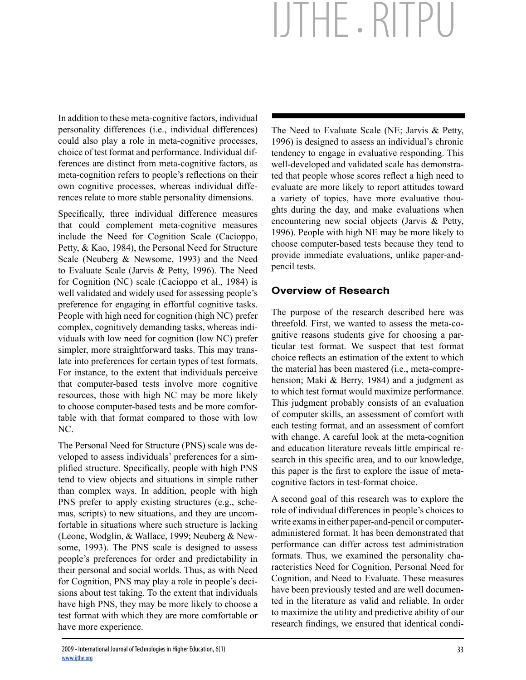In addition to these meta-cognitive factors, individual personality differences (i.e., individual differences) could also play a role in meta-cognitive processes, choice of test format and performance. Individual differences are distinct from meta-cognitive factors, as meta-cognition refers to people's reflections on their own cognitive processes, whereas individual differences relate to more stable personality dimensions.

Specifically, three individual difference measures that could complement meta-cognitive measures include the Need for Cognition Scale (Cacioppo, Petty, & Kao, 1984), the Personal Need for Structure Scale (Neuberg & Newsome, 1993) and the Need to Evaluate Scale (Jarvis & Petty, 1996). The Need for Cognition (NC) scale (Cacioppo et al., 1984) is well validated and widely used for assessing people's preference for engaging in effortful cognitive tasks. People with high need for cognition (high NC) prefer complex, cognitively demanding tasks, whereas individuals with low need for cognition (low NC) prefer simpler, more straightforward tasks. This may translate into preferences for certain types of test formats. For instance, to the extent that individuals perceive that computer-based tests involve more cognitive resources, those with high NC may be more likely to choose computer-based tests and be more comfortable with that format compared to those with low NC.

The Personal Need for Structure (PNS) scale was developed to assess individuals' preferences for a simplified structure. Specifically, people with high PNS tend to view objects and situations in simple rather than complex ways. In addition, people with high PNS prefer to apply existing structures (e.g., schemas, scripts) to new situations, and they are uncomfortable in situations where such structure is lacking (Leone, Wodglin, & Wallace, 1999; Neuberg & Newsome, 1993). The PNS scale is designed to assess people's preferences for order and predictability in their personal and social worlds. Thus, as with Need for Cognition, PNS may play a role in people's decisions about test taking. To the extent that individuals have high PNS, they may be more likely to choose a test format with which they are more comfortable or have more experience.

The Need to Evaluate Scale (NE; Jarvis & Petty, 1996) is designed to assess an individual's chronic tendency to engage in evaluative responding. This well-developed and validated scale has demonstrated that people whose scores reflect a high need to evaluate are more likely to report attitudes toward a variety of topics, have more evaluative thoughts during the day, and make evaluations when encountering new social objects (Jarvis & Petty, 1996). People with high NE may be more likely to choose computer-based tests because they tend to provide immediate evaluations, unlike paper-andpencil tests.

## **Overview of Research**

The purpose of the research described here was threefold. First, we wanted to assess the meta-cognitive reasons students give for choosing a particular test format. We suspect that test format choice reflects an estimation of the extent to which the material has been mastered (i.e., meta-comprehension; Maki & Berry, 1984) and a judgment as to which test format would maximize performance. This judgment probably consists of an evaluation of computer skills, an assessment of comfort with each testing format, and an assessment of comfort with change. A careful look at the meta-cognition and education literature reveals little empirical research in this specific area, and to our knowledge, this paper is the first to explore the issue of metacognitive factors in test-format choice.

A second goal of this research was to explore the role of individual differences in people's choices to write exams in either paper-and-pencil or computeradministered format. It has been demonstrated that performance can differ across test administration formats. Thus, we examined the personality characteristics Need for Cognition, Personal Need for Cognition, and Need to Evaluate. These measures have been previously tested and are well documented in the literature as valid and reliable. In order to maximize the utility and predictive ability of our research findings, we ensured that identical condi-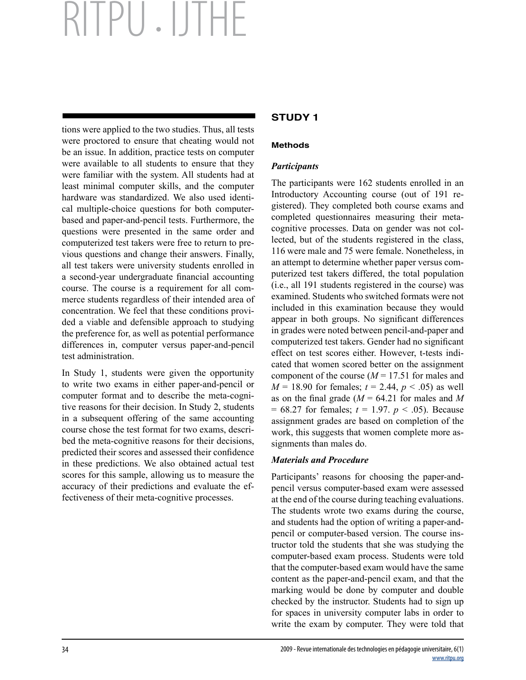tions were applied to the two studies. Thus, all tests were proctored to ensure that cheating would not be an issue. In addition, practice tests on computer were available to all students to ensure that they were familiar with the system. All students had at least minimal computer skills, and the computer hardware was standardized. We also used identical multiple-choice questions for both computerbased and paper-and-pencil tests. Furthermore, the questions were presented in the same order and computerized test takers were free to return to previous questions and change their answers. Finally, all test takers were university students enrolled in a second-year undergraduate financial accounting course. The course is a requirement for all commerce students regardless of their intended area of concentration. We feel that these conditions provided a viable and defensible approach to studying the preference for, as well as potential performance differences in, computer versus paper-and-pencil test administration.

In Study 1, students were given the opportunity to write two exams in either paper-and-pencil or computer format and to describe the meta-cognitive reasons for their decision. In Study 2, students in a subsequent offering of the same accounting course chose the test format for two exams, described the meta-cognitive reasons for their decisions, predicted their scores and assessed their confidence in these predictions. We also obtained actual test scores for this sample, allowing us to measure the accuracy of their predictions and evaluate the effectiveness of their meta-cognitive processes.

## **STUDY 1**

#### **Methods**

#### *Participants*

The participants were 162 students enrolled in an Introductory Accounting course (out of 191 registered). They completed both course exams and completed questionnaires measuring their metacognitive processes. Data on gender was not collected, but of the students registered in the class, 116 were male and 75 were female. Nonetheless, in an attempt to determine whether paper versus computerized test takers differed, the total population (i.e., all 191 students registered in the course) was examined. Students who switched formats were not included in this examination because they would appear in both groups. No significant differences in grades were noted between pencil-and-paper and computerized test takers. Gender had no significant effect on test scores either. However, t-tests indicated that women scored better on the assignment component of the course  $(M = 17.51$  for males and *M* = 18.90 for females;  $t = 2.44$ ,  $p < .05$ ) as well as on the final grade (*M* = 64.21 for males and *M*  $= 68.27$  for females;  $t = 1.97$ .  $p < .05$ ). Because assignment grades are based on completion of the work, this suggests that women complete more assignments than males do.

#### *Materials and Procedure*

Participants' reasons for choosing the paper-andpencil versus computer-based exam were assessed at the end of the course during teaching evaluations. The students wrote two exams during the course, and students had the option of writing a paper-andpencil or computer-based version. The course instructor told the students that she was studying the computer-based exam process. Students were told that the computer-based exam would have the same content as the paper-and-pencil exam, and that the marking would be done by computer and double checked by the instructor. Students had to sign up for spaces in university computer labs in order to write the exam by computer. They were told that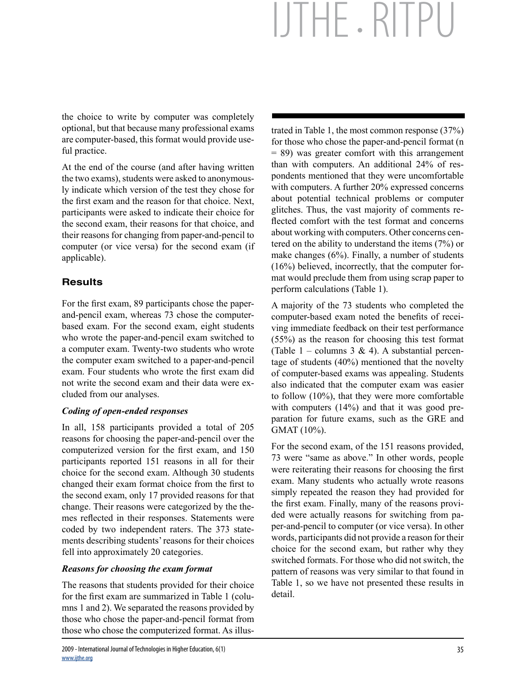the choice to write by computer was completely optional, but that because many professional exams are computer-based, this format would provide useful practice.

At the end of the course (and after having written the two exams), students were asked to anonymously indicate which version of the test they chose for the first exam and the reason for that choice. Next, participants were asked to indicate their choice for the second exam, their reasons for that choice, and their reasons for changing from paper-and-pencil to computer (or vice versa) for the second exam (if applicable).

### **Results**

For the first exam, 89 participants chose the paperand-pencil exam, whereas 73 chose the computerbased exam. For the second exam, eight students who wrote the paper-and-pencil exam switched to a computer exam. Twenty-two students who wrote the computer exam switched to a paper-and-pencil exam. Four students who wrote the first exam did not write the second exam and their data were excluded from our analyses.

### *Coding of open-ended responses*

In all, 158 participants provided a total of 205 reasons for choosing the paper-and-pencil over the computerized version for the first exam, and 150 participants reported 151 reasons in all for their choice for the second exam. Although 30 students changed their exam format choice from the first to the second exam, only 17 provided reasons for that change. Their reasons were categorized by the themes reflected in their responses. Statements were coded by two independent raters. The 373 statements describing students' reasons for their choices fell into approximately 20 categories.

### *Reasons for choosing the exam format*

The reasons that students provided for their choice for the first exam are summarized in Table 1 (columns 1 and 2). We separated the reasons provided by those who chose the paper-and-pencil format from those who chose the computerized format. As illustrated in Table 1, the most common response (37%) for those who chose the paper-and-pencil format (n = 89) was greater comfort with this arrangement than with computers. An additional 24% of respondents mentioned that they were uncomfortable with computers. A further 20% expressed concerns about potential technical problems or computer glitches. Thus, the vast majority of comments reflected comfort with the test format and concerns about working with computers. Other concerns centered on the ability to understand the items (7%) or make changes (6%). Finally, a number of students (16%) believed, incorrectly, that the computer format would preclude them from using scrap paper to perform calculations (Table 1).

A majority of the 73 students who completed the computer-based exam noted the benefits of receiving immediate feedback on their test performance (55%) as the reason for choosing this test format (Table 1 – columns 3 & 4). A substantial percentage of students (40%) mentioned that the novelty of computer-based exams was appealing. Students also indicated that the computer exam was easier to follow (10%), that they were more comfortable with computers (14%) and that it was good preparation for future exams, such as the GRE and GMAT (10%).

For the second exam, of the 151 reasons provided, 73 were "same as above." In other words, people were reiterating their reasons for choosing the first exam. Many students who actually wrote reasons simply repeated the reason they had provided for the first exam. Finally, many of the reasons provided were actually reasons for switching from paper-and-pencil to computer (or vice versa). In other words, participants did not provide a reason for their choice for the second exam, but rather why they switched formats. For those who did not switch, the pattern of reasons was very similar to that found in Table 1, so we have not presented these results in detail.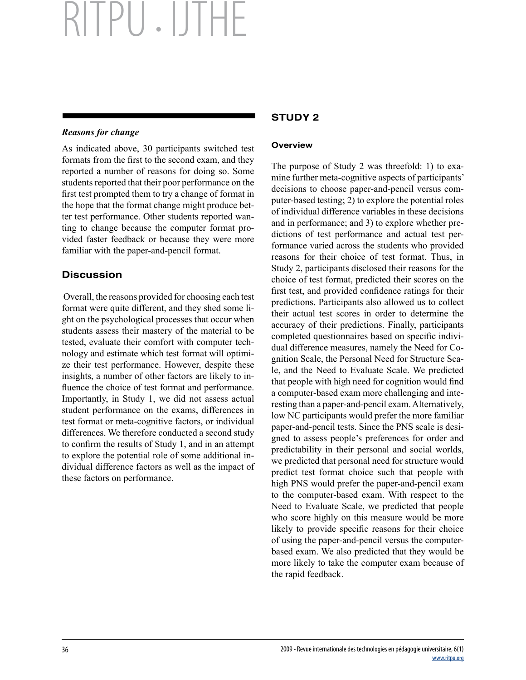#### *Reasons for change*

As indicated above, 30 participants switched test formats from the first to the second exam, and they reported a number of reasons for doing so. Some students reported that their poor performance on the first test prompted them to try a change of format in the hope that the format change might produce better test performance. Other students reported wanting to change because the computer format provided faster feedback or because they were more familiar with the paper-and-pencil format.

### **Discussion**

Overall, the reasons provided for choosing each test format were quite different, and they shed some light on the psychological processes that occur when students assess their mastery of the material to be tested, evaluate their comfort with computer technology and estimate which test format will optimize their test performance. However, despite these insights, a number of other factors are likely to influence the choice of test format and performance. Importantly, in Study 1, we did not assess actual student performance on the exams, differences in test format or meta-cognitive factors, or individual differences. We therefore conducted a second study to confirm the results of Study 1, and in an attempt to explore the potential role of some additional individual difference factors as well as the impact of these factors on performance.

## **STUDY 2**

#### **Overview**

The purpose of Study 2 was threefold: 1) to examine further meta-cognitive aspects of participants' decisions to choose paper-and-pencil versus computer-based testing; 2) to explore the potential roles of individual difference variables in these decisions and in performance; and 3) to explore whether predictions of test performance and actual test performance varied across the students who provided reasons for their choice of test format. Thus, in Study 2, participants disclosed their reasons for the choice of test format, predicted their scores on the first test, and provided confidence ratings for their predictions. Participants also allowed us to collect their actual test scores in order to determine the accuracy of their predictions. Finally, participants completed questionnaires based on specific individual difference measures, namely the Need for Cognition Scale, the Personal Need for Structure Scale, and the Need to Evaluate Scale. We predicted that people with high need for cognition would find a computer-based exam more challenging and interesting than a paper-and-pencil exam.Alternatively, low NC participants would prefer the more familiar paper-and-pencil tests. Since the PNS scale is designed to assess people's preferences for order and predictability in their personal and social worlds, we predicted that personal need for structure would predict test format choice such that people with high PNS would prefer the paper-and-pencil exam to the computer-based exam. With respect to the Need to Evaluate Scale, we predicted that people who score highly on this measure would be more likely to provide specific reasons for their choice of using the paper-and-pencil versus the computerbased exam. We also predicted that they would be more likely to take the computer exam because of the rapid feedback.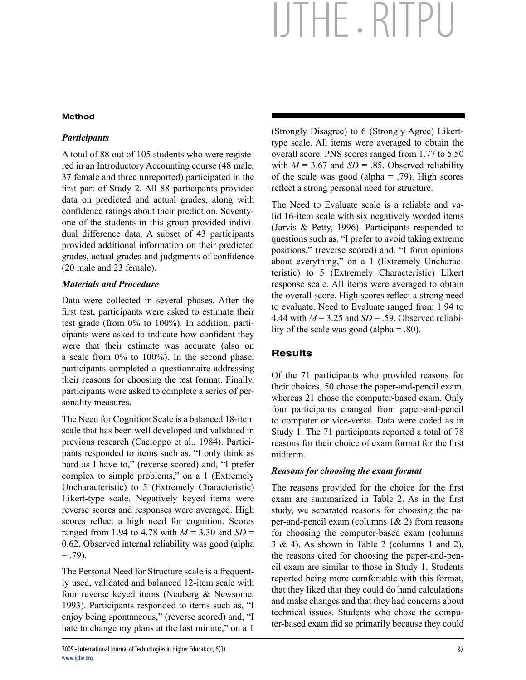#### **Method**

#### *Participants*

A total of 88 out of 105 students who were registered in an Introductory Accounting course (48 male, 37 female and three unreported) participated in the first part of Study 2. All 88 participants provided data on predicted and actual grades, along with confidence ratings about their prediction. Seventyone of the students in this group provided individual difference data. A subset of 43 participants provided additional information on their predicted grades, actual grades and judgments of confidence (20 male and 23 female).

#### *Materials and Procedure*

Data were collected in several phases. After the first test, participants were asked to estimate their test grade (from 0% to 100%). In addition, participants were asked to indicate how confident they were that their estimate was accurate (also on a scale from 0% to 100%). In the second phase, participants completed a questionnaire addressing their reasons for choosing the test format. Finally, participants were asked to complete a series of personality measures.

The Need for Cognition Scale is a balanced 18-item scale that has been well developed and validated in previous research (Cacioppo et al., 1984). Participants responded to items such as, "I only think as hard as I have to," (reverse scored) and, "I prefer complex to simple problems," on a 1 (Extremely Uncharacteristic) to 5 (Extremely Characteristic) Likert-type scale. Negatively keyed items were reverse scores and responses were averaged. High scores reflect a high need for cognition. Scores ranged from 1.94 to 4.78 with *M* = 3.30 and *SD* = 0.62. Observed internal reliability was good (alpha  $= .79$ ).

The Personal Need for Structure scale is a frequently used, validated and balanced 12-item scale with four reverse keyed items (Neuberg & Newsome, 1993). Participants responded to items such as, "I enjoy being spontaneous," (reverse scored) and, "I hate to change my plans at the last minute," on a 1

(Strongly Disagree) to 6 (Strongly Agree) Likerttype scale. All items were averaged to obtain the overall score. PNS scores ranged from 1.77 to 5.50 with  $M = 3.67$  and  $SD = .85$ . Observed reliability of the scale was good (alpha  $=$  .79). High scores reflect a strong personal need for structure.

The Need to Evaluate scale is a reliable and valid 16-item scale with six negatively worded items (Jarvis & Petty, 1996). Participants responded to questions such as, "I prefer to avoid taking extreme positions," (reverse scored) and, "I form opinions about everything," on a 1 (Extremely Uncharacteristic) to 5 (Extremely Characteristic) Likert response scale. All items were averaged to obtain the overall score. High scores reflect a strong need to evaluate. Need to Evaluate ranged from 1.94 to 4.44 with  $M = 3.25$  and  $SD = .59$ . Observed reliability of the scale was good (alpha  $= .80$ ).

### **Results**

Of the 71 participants who provided reasons for their choices, 50 chose the paper-and-pencil exam, whereas 21 chose the computer-based exam. Only four participants changed from paper-and-pencil to computer or vice-versa. Data were coded as in Study 1. The 71 participants reported a total of 78 reasons for their choice of exam format for the first midterm.

#### *Reasons for choosing the exam format*

The reasons provided for the choice for the first exam are summarized in Table 2. As in the first study, we separated reasons for choosing the paper-and-pencil exam (columns 1& 2) from reasons for choosing the computer-based exam (columns  $3 \& 4$ ). As shown in Table 2 (columns 1 and 2), the reasons cited for choosing the paper-and-pencil exam are similar to those in Study 1. Students reported being more comfortable with this format, that they liked that they could do hand calculations and make changes and that they had concerns about technical issues. Students who chose the computer-based exam did so primarily because they could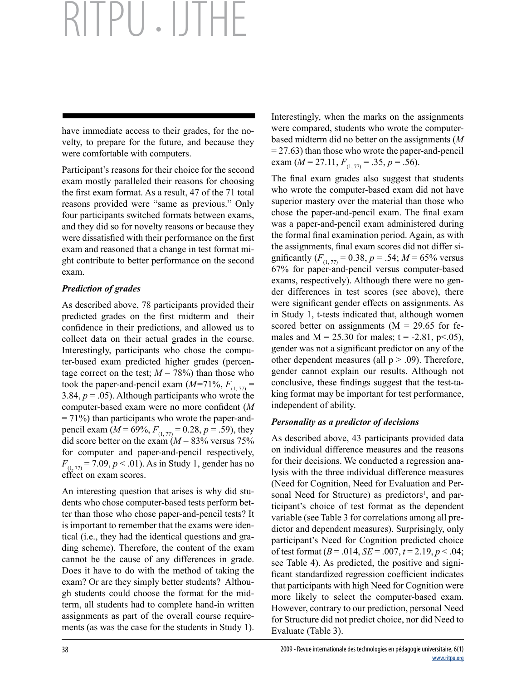have immediate access to their grades, for the novelty, to prepare for the future, and because they were comfortable with computers.

Participant's reasons for their choice for the second exam mostly paralleled their reasons for choosing the first exam format. As a result, 47 of the 71 total reasons provided were "same as previous." Only four participants switched formats between exams, and they did so for novelty reasons or because they were dissatisfied with their performance on the first exam and reasoned that a change in test format might contribute to better performance on the second exam.

#### *Prediction of grades*

As described above, 78 participants provided their predicted grades on the first midterm and their confidence in their predictions, and allowed us to collect data on their actual grades in the course. Interestingly, participants who chose the computer-based exam predicted higher grades (percentage correct on the test;  $M = 78\%$ ) than those who took the paper-and-pencil exam  $(M=71\%, F_{(1, 77)} =$ 3.84,  $p = .05$ ). Although participants who wrote the computer-based exam were no more confident (*M*  $= 71\%$ ) than participants who wrote the paper-andpencil exam ( $M = 69\%$ ,  $F_{(1, 77)} = 0.28$ ,  $p = .59$ ), they did score better on the exam  $(M = 83\%$  versus 75% for computer and paper-and-pencil respectively, *F*(1, 77) = 7.09, *p* < .01). As in Study 1, gender has no effect on exam scores.

An interesting question that arises is why did students who chose computer-based tests perform better than those who chose paper-and-pencil tests? It is important to remember that the exams were identical (i.e., they had the identical questions and grading scheme). Therefore, the content of the exam cannot be the cause of any differences in grade. Does it have to do with the method of taking the exam? Or are they simply better students? Although students could choose the format for the midterm, all students had to complete hand-in written assignments as part of the overall course requirements (as was the case for the students in Study 1).

Interestingly, when the marks on the assignments were compared, students who wrote the computerbased midterm did no better on the assignments (*M* = 27.63) than those who wrote the paper-and-pencil exam ( $M = 27.11$ ,  $F_{(1, 77)} = .35$ ,  $p = .56$ ).

The final exam grades also suggest that students who wrote the computer-based exam did not have superior mastery over the material than those who chose the paper-and-pencil exam. The final exam was a paper-and-pencil exam administered during the formal final examination period. Again, as with the assignments, final exam scores did not differ significantly  $(F_{(1, 77)} = 0.38, p = .54; M = 65\%$  versus 67% for paper-and-pencil versus computer-based exams, respectively). Although there were no gender differences in test scores (see above), there were significant gender effects on assignments. As in Study 1, t-tests indicated that, although women scored better on assignments ( $M = 29.65$  for females and  $M = 25.30$  for males;  $t = -2.81$ ,  $p < .05$ ), gender was not a significant predictor on any of the other dependent measures (all  $p > .09$ ). Therefore, gender cannot explain our results. Although not conclusive, these findings suggest that the test-taking format may be important for test performance, independent of ability.

### *Personality as a predictor of decisions*

As described above, 43 participants provided data on individual difference measures and the reasons for their decisions. We conducted a regression analysis with the three individual difference measures (Need for Cognition, Need for Evaluation and Personal Need for Structure) as predictors<sup>1</sup>, and participant's choice of test format as the dependent variable (see Table 3 for correlations among all predictor and dependent measures). Surprisingly, only participant's Need for Cognition predicted choice of test format ( $B = .014$ ,  $SE = .007$ ,  $t = 2.19$ ,  $p < .04$ ; see Table 4). As predicted, the positive and significant standardized regression coefficient indicates that participants with high Need for Cognition were more likely to select the computer-based exam. However, contrary to our prediction, personal Need for Structure did not predict choice, nor did Need to Evaluate (Table 3).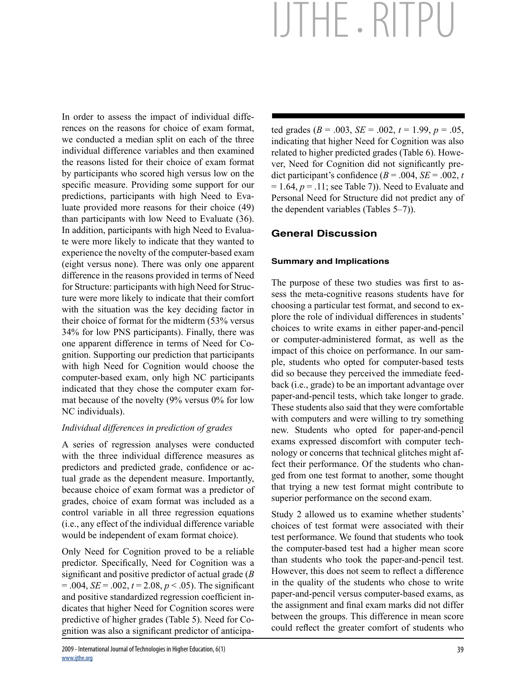In order to assess the impact of individual differences on the reasons for choice of exam format, we conducted a median split on each of the three individual difference variables and then examined the reasons listed for their choice of exam format by participants who scored high versus low on the specific measure. Providing some support for our predictions, participants with high Need to Evaluate provided more reasons for their choice (49) than participants with low Need to Evaluate (36). In addition, participants with high Need to Evaluate were more likely to indicate that they wanted to experience the novelty of the computer-based exam (eight versus none). There was only one apparent difference in the reasons provided in terms of Need for Structure: participants with high Need for Structure were more likely to indicate that their comfort with the situation was the key deciding factor in their choice of format for the midterm (53% versus 34% for low PNS participants). Finally, there was one apparent difference in terms of Need for Cognition. Supporting our prediction that participants with high Need for Cognition would choose the computer-based exam, only high NC participants indicated that they chose the computer exam format because of the novelty (9% versus 0% for low NC individuals).

#### *Individual differences in prediction of grades*

A series of regression analyses were conducted with the three individual difference measures as predictors and predicted grade, confidence or actual grade as the dependent measure. Importantly, because choice of exam format was a predictor of grades, choice of exam format was included as a control variable in all three regression equations (i.e., any effect of the individual difference variable would be independent of exam format choice).

Only Need for Cognition proved to be a reliable predictor. Specifically, Need for Cognition was a significant and positive predictor of actual grade (*B*  $= .004$ , *SE* = .002,  $t = 2.08$ ,  $p < .05$ ). The significant and positive standardized regression coefficient indicates that higher Need for Cognition scores were predictive of higher grades (Table 5). Need for Cognition was also a significant predictor of anticipa-

2009 - International Journal of Technologies in Higher Education, 6(1) www.ijthe.org

ted grades ( $B = .003$ ,  $SE = .002$ ,  $t = 1.99$ ,  $p = .05$ , indicating that higher Need for Cognition was also related to higher predicted grades (Table 6). However, Need for Cognition did not significantly predict participant's confidence  $(B = .004, SE = .002, t$  $= 1.64$ ,  $p = .11$ ; see Table 7)). Need to Evaluate and Personal Need for Structure did not predict any of the dependent variables (Tables 5–7)).

## **General Discussion**

#### **Summary and Implications**

The purpose of these two studies was first to assess the meta-cognitive reasons students have for choosing a particular test format, and second to explore the role of individual differences in students' choices to write exams in either paper-and-pencil or computer-administered format, as well as the impact of this choice on performance. In our sample, students who opted for computer-based tests did so because they perceived the immediate feedback (i.e., grade) to be an important advantage over paper-and-pencil tests, which take longer to grade. These students also said that they were comfortable with computers and were willing to try something new. Students who opted for paper-and-pencil exams expressed discomfort with computer technology or concerns that technical glitches might affect their performance. Of the students who changed from one test format to another, some thought that trying a new test format might contribute to superior performance on the second exam.

Study 2 allowed us to examine whether students' choices of test format were associated with their test performance. We found that students who took the computer-based test had a higher mean score than students who took the paper-and-pencil test. However, this does not seem to reflect a difference in the quality of the students who chose to write paper-and-pencil versus computer-based exams, as the assignment and final exam marks did not differ between the groups. This difference in mean score could reflect the greater comfort of students who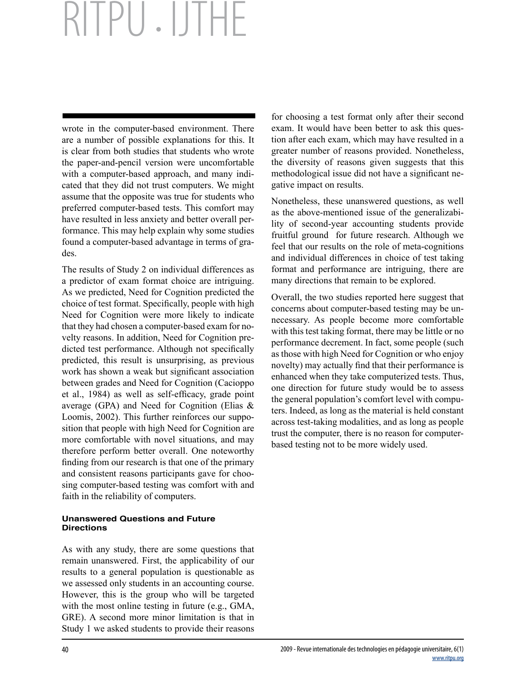wrote in the computer-based environment. There are a number of possible explanations for this. It is clear from both studies that students who wrote the paper-and-pencil version were uncomfortable with a computer-based approach, and many indicated that they did not trust computers. We might assume that the opposite was true for students who preferred computer-based tests. This comfort may have resulted in less anxiety and better overall performance. This may help explain why some studies found a computer-based advantage in terms of grades.

The results of Study 2 on individual differences as a predictor of exam format choice are intriguing. As we predicted, Need for Cognition predicted the choice of test format. Specifically, people with high Need for Cognition were more likely to indicate that they had chosen a computer-based exam for novelty reasons. In addition, Need for Cognition predicted test performance. Although not specifically predicted, this result is unsurprising, as previous work has shown a weak but significant association between grades and Need for Cognition (Cacioppo et al., 1984) as well as self-efficacy, grade point average (GPA) and Need for Cognition (Elias & Loomis, 2002). This further reinforces our supposition that people with high Need for Cognition are more comfortable with novel situations, and may therefore perform better overall. One noteworthy finding from our research is that one of the primary and consistent reasons participants gave for choosing computer-based testing was comfort with and faith in the reliability of computers.

#### **Unanswered Questions and Future Directions**

As with any study, there are some questions that remain unanswered. First, the applicability of our results to a general population is questionable as we assessed only students in an accounting course. However, this is the group who will be targeted with the most online testing in future (e.g., GMA, GRE). A second more minor limitation is that in Study 1 we asked students to provide their reasons for choosing a test format only after their second exam. It would have been better to ask this question after each exam, which may have resulted in a greater number of reasons provided. Nonetheless, the diversity of reasons given suggests that this methodological issue did not have a significant negative impact on results.

Nonetheless, these unanswered questions, as well as the above-mentioned issue of the generalizability of second-year accounting students provide fruitful ground for future research. Although we feel that our results on the role of meta-cognitions and individual differences in choice of test taking format and performance are intriguing, there are many directions that remain to be explored.

Overall, the two studies reported here suggest that concerns about computer-based testing may be unnecessary. As people become more comfortable with this test taking format, there may be little or no performance decrement. In fact, some people (such as those with high Need for Cognition or who enjoy novelty) may actually find that their performance is enhanced when they take computerized tests. Thus, one direction for future study would be to assess the general population's comfort level with computers. Indeed, as long as the material is held constant across test-taking modalities, and as long as people trust the computer, there is no reason for computerbased testing not to be more widely used.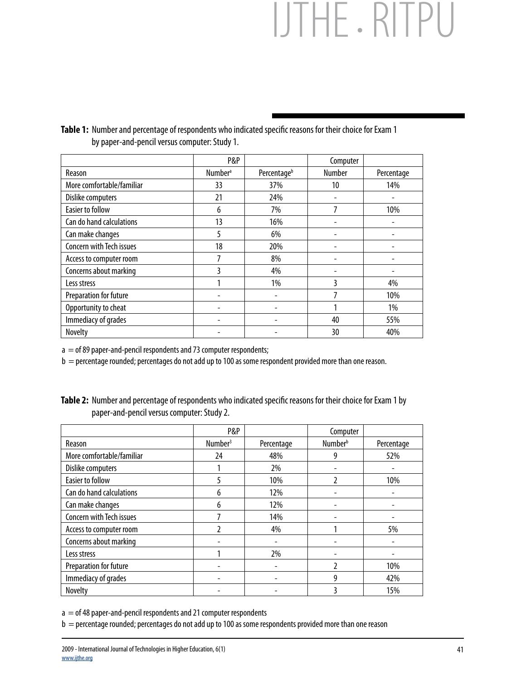## **Table 1:** Number and percentage of respondents who indicated specific reasons for their choice for Exam 1 by paper-and-pencil versus computer: Study 1.

|                                 | <b>P&amp;P</b>      |                          | Computer      |            |
|---------------------------------|---------------------|--------------------------|---------------|------------|
| Reason                          | Number <sup>a</sup> | Percentageb              | <b>Number</b> | Percentage |
| More comfortable/familiar       | 33                  | 37%                      | 10            | 14%        |
| Dislike computers               | 21                  | 24%                      |               |            |
| Easier to follow                | 6                   | 7%                       | 7             | 10%        |
| Can do hand calculations        | 13                  | 16%                      |               |            |
| Can make changes                | 5                   | 6%                       |               |            |
| <b>Concern with Tech issues</b> | 18                  | 20%                      |               |            |
| Access to computer room         | 7                   | 8%                       |               |            |
| Concerns about marking          | 3                   | 4%                       |               |            |
| Less stress                     |                     | 1%                       | 3             | 4%         |
| Preparation for future          |                     | $\overline{\phantom{0}}$ | 7             | 10%        |
| Opportunity to cheat            |                     | $\overline{\phantom{0}}$ |               | 1%         |
| Immediacy of grades             |                     |                          | 40            | 55%        |
| Novelty                         |                     |                          | 30            | 40%        |

 $a =$  of 89 paper-and-pencil respondents and 73 computer respondents;

b = percentage rounded; percentages do not add up to 100 as some respondent provided more than one reason.

### **Table 2:** Number and percentage of respondents who indicated specific reasons for their choice for Exam 1 by paper-and-pencil versus computer: Study 2.

|                                 | <b>P&amp;P</b>      |                          | Computer            |            |
|---------------------------------|---------------------|--------------------------|---------------------|------------|
| Reason                          | Number <sup>3</sup> | Percentage               | Number <sup>b</sup> | Percentage |
| More comfortable/familiar       | 24                  | 48%                      | 9                   | 52%        |
| Dislike computers               |                     | 2%                       |                     |            |
| Easier to follow                | 5                   | 10%                      |                     | 10%        |
| Can do hand calculations        | 6                   | 12%                      |                     |            |
| Can make changes                | 6                   | 12%                      |                     |            |
| <b>Concern with Tech issues</b> |                     | 14%                      |                     |            |
| Access to computer room         | 2                   | 4%                       |                     | 5%         |
| Concerns about marking          |                     | $\overline{\phantom{a}}$ |                     | ۰          |
| Less stress                     |                     | 2%                       |                     |            |
| Preparation for future          |                     | $\overline{\phantom{0}}$ | າ                   | 10%        |
| Immediacy of grades             |                     | $\overline{\phantom{0}}$ | 9                   | 42%        |
| Novelty                         |                     | -                        | 3                   | 15%        |

 $a =$  of 48 paper-and-pencil respondents and 21 computer respondents

b = percentage rounded; percentages do not add up to 100 as some respondents provided more than one reason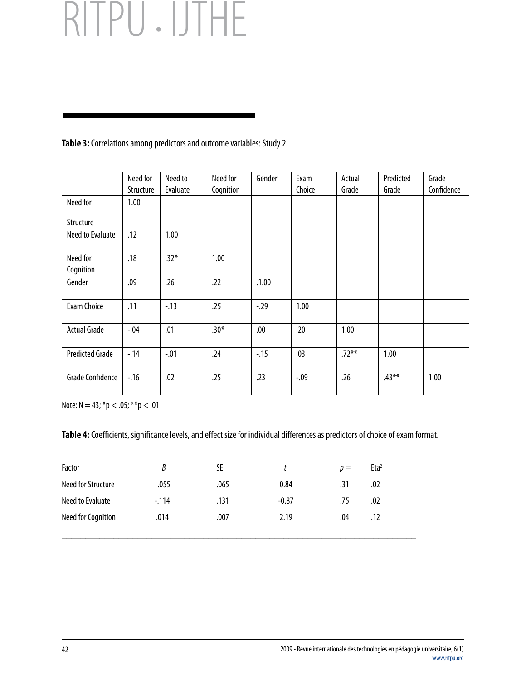|  | Table 3: Correlations among predictors and outcome variables: Study 2 |  |
|--|-----------------------------------------------------------------------|--|
|  |                                                                       |  |

|                         | Need for<br>Structure | Need to<br>Evaluate | Need for<br>Cognition | Gender | Exam<br>Choice | Actual<br>Grade | Predicted<br>Grade | Grade<br>Confidence |
|-------------------------|-----------------------|---------------------|-----------------------|--------|----------------|-----------------|--------------------|---------------------|
| Need for                | 1.00                  |                     |                       |        |                |                 |                    |                     |
| Structure               |                       |                     |                       |        |                |                 |                    |                     |
| Need to Evaluate        | .12                   | 1.00                |                       |        |                |                 |                    |                     |
| Need for<br>Cognition   | .18                   | $.32*$              | 1.00                  |        |                |                 |                    |                     |
| Gender                  | .09                   | .26                 | .22                   | .1.00  |                |                 |                    |                     |
| <b>Exam Choice</b>      | .11                   | $-.13$              | .25                   | $-.29$ | 1.00           |                 |                    |                     |
| <b>Actual Grade</b>     | $-.04$                | .01                 | $.30*$                | .00    | .20            | 1.00            |                    |                     |
| <b>Predicted Grade</b>  | $-14$                 | $-.01$              | .24                   | $-15$  | .03            | $.72***$        | 1.00               |                     |
| <b>Grade Confidence</b> | $-16$                 | .02                 | .25                   | .23    | $-.09$         | .26             | $.43***$           | 1.00                |

Note: N = 43; \*p < .05; \*\*p < .01

**Table 4:** Coefficients, significance levels, and effect size for individual differences as predictors of choice of exam format.

| Factor             | B      | SE   |         | $p =$ | Eta <sup>2</sup> |
|--------------------|--------|------|---------|-------|------------------|
| Need for Structure | .055   | .065 | 0.84    | .31   | .02              |
| Need to Evaluate   | $-114$ | .131 | $-0.87$ | .75   | .02              |
| Need for Cognition | .014   | .007 | 2.19    | .04   | .12              |
|                    |        |      |         |       |                  |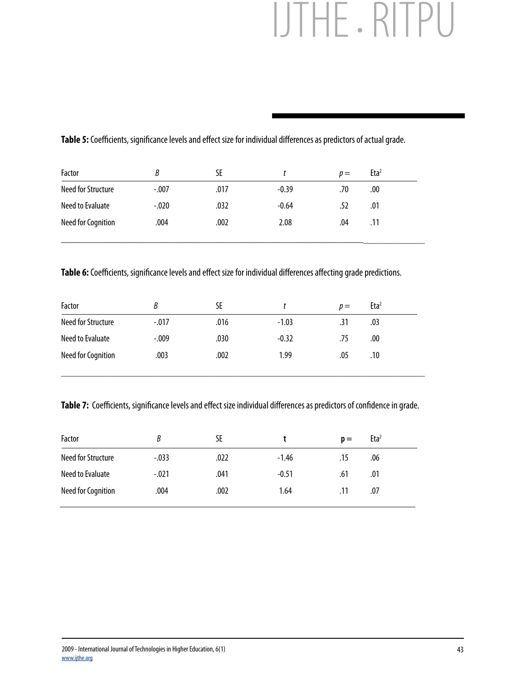**Table 5:** Coefficients, significance levels and effect size for individual differences as predictors of actual grade.

| Factor             |         | SE   |         | $p =$ | Eta <sup>2</sup> |  |
|--------------------|---------|------|---------|-------|------------------|--|
| Need for Structure | $-.007$ | .017 | $-0.39$ | .70   | .00              |  |
| Need to Evaluate   | $-.020$ | .032 | $-0.64$ | .52   | .01              |  |
| Need for Cognition | .004    | .002 | 2.08    | .04   | .11              |  |
|                    |         |      |         |       |                  |  |

**Table 6:** Coefficients, significance levels and effect size for individual differences affecting grade predictions.

| Factor             | В       | SE   |         | $n =$ | Eta <sup>2</sup> |
|--------------------|---------|------|---------|-------|------------------|
| Need for Structure | $-.017$ | .016 | $-1.03$ | .31   | .03              |
| Need to Evaluate   | $-.009$ | .030 | $-0.32$ | .75   | .00              |
| Need for Cognition | .003    | .002 | 1.99    | .05   | .10              |
|                    |         |      |         |       |                  |

**Table 7:** Coefficients, significance levels and effect size individual differences as predictors of confidence in grade.

| Factor             | В       | SE.  |         | $\mathbf{D} =$ | Eta <sup>2</sup> |
|--------------------|---------|------|---------|----------------|------------------|
| Need for Structure | $-.033$ | .022 | $-1.46$ | .15            | .06              |
| Need to Evaluate   | $-.021$ | .041 | $-0.51$ | .61            | .01              |
| Need for Cognition | .004    | .002 | 1.64    | .11            | .07              |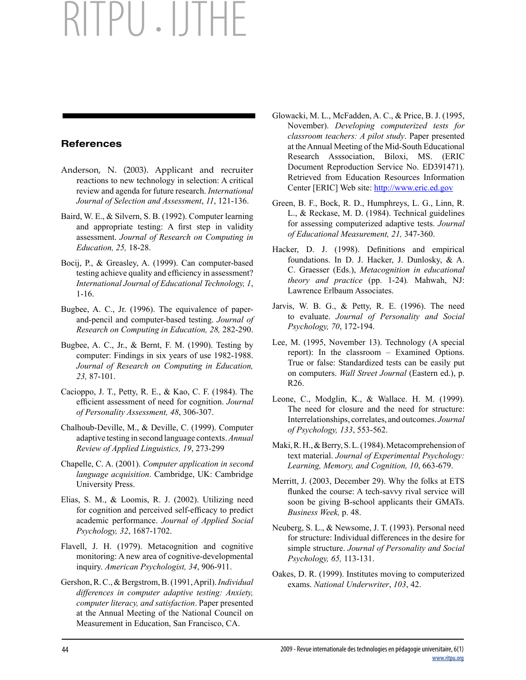## **References**

- Anderson, N. (2003). Applicant and recruiter reactions to new technology in selection: A critical review and agenda for future research. *International Journal of Selection and Assessment*, *11*, 121-136.
- Baird, W. E., & Silvern, S. B. (1992). Computer learning and appropriate testing: A first step in validity assessment. *Journal of Research on Computing in Education, 25,* 18-28.
- Bocij, P., & Greasley, A. (1999). Can computer-based testing achieve quality and efficiency in assessment? *International Journal of Educational Technology, 1*, 1-16.
- Bugbee, A. C., Jr. (1996). The equivalence of paperand-pencil and computer-based testing. *Journal of Research on Computing in Education, 28,* 282-290.
- Bugbee, A. C., Jr., & Bernt, F. M. (1990). Testing by computer: Findings in six years of use 1982-1988. *Journal of Research on Computing in Education, 23,* 87-101.
- Cacioppo, J. T., Petty, R. E., & Kao, C. F. (1984). The efficient assessment of need for cognition. *Journal of Personality Assessment, 48*, 306-307.
- Chalhoub-Deville, M., & Deville, C. (1999). Computer adaptive testing in second language contexts.*Annual Review of Applied Linguistics, 19*, 273-299
- Chapelle, C. A. (2001). *Computer application in second language acquisition*. Cambridge, UK: Cambridge University Press.
- Elias, S. M., & Loomis, R. J. (2002). Utilizing need for cognition and perceived self-efficacy to predict academic performance. *Journal of Applied Social Psychology, 32*, 1687-1702.
- Flavell, J. H. (1979). Metacognition and cognitive monitoring: A new area of cognitive-developmental inquiry. *American Psychologist, 34*, 906-911.
- Gershon,R.C.,&Bergstrom,B.(1991,April).*Individual differences in computer adaptive testing: Anxiety, computer literacy, and satisfaction*. Paper presented at the Annual Meeting of the National Council on Measurement in Education, San Francisco, CA.
- Glowacki, M. L., McFadden, A. C., & Price, B. J. (1995, November). *Developing computerized tests for classroom teachers: A pilot study*. Paper presented at theAnnual Meeting of the Mid-South Educational Research Asssociation, Biloxi, MS. (ERIC Document Reproduction Service No. ED391471). Retrieved from Education Resources Information Center [ERIC] Web site: http://www.eric.ed.gov
- Green, B. F., Bock, R. D., Humphreys, L. G., Linn, R. L., & Reckase, M. D. (1984). Technical guidelines for assessing computerized adaptive tests. *Journal of Educational Measurement, 21,* 347-360.
- Hacker, D. J. (1998). Definitions and empirical foundations. In D. J. Hacker, J. Dunlosky, & A. C. Graesser (Eds.), *Metacognition in educational theory and practice* (pp. 1-24)*.* Mahwah, NJ: Lawrence Erlbaum Associates.
- Jarvis, W. B. G., & Petty, R. E. (1996). The need to evaluate. *Journal of Personality and Social Psychology, 70*, 172-194.
- Lee, M. (1995, November 13). Technology (A special report): In the classroom – Examined Options. True or false: Standardized tests can be easily put on computers. *Wall Street Journal* (Eastern ed.), p. R26.
- Leone, C., Modglin, K., & Wallace. H. M. (1999). The need for closure and the need for structure: Interrelationships, correlates, and outcomes. *Journal of Psychology, 133*, 553-562.
- Maki,R.H.,&Berry,S.L.(1984).Metacomprehensionof text material. *Journal of Experimental Psychology: Learning, Memory, and Cognition, 10*, 663-679.
- Merritt, J. (2003, December 29). Why the folks at ETS flunked the course: A tech-savvy rival service will soon be giving B-school applicants their GMATs. *Business Week,* p. 48.
- Neuberg, S. L., & Newsome, J. T. (1993). Personal need for structure: Individual differences in the desire for simple structure. *Journal of Personality and Social Psychology, 65,* 113-131.
- Oakes, D. R. (1999). Institutes moving to computerized exams. *National Underwriter*, *103*, 42.